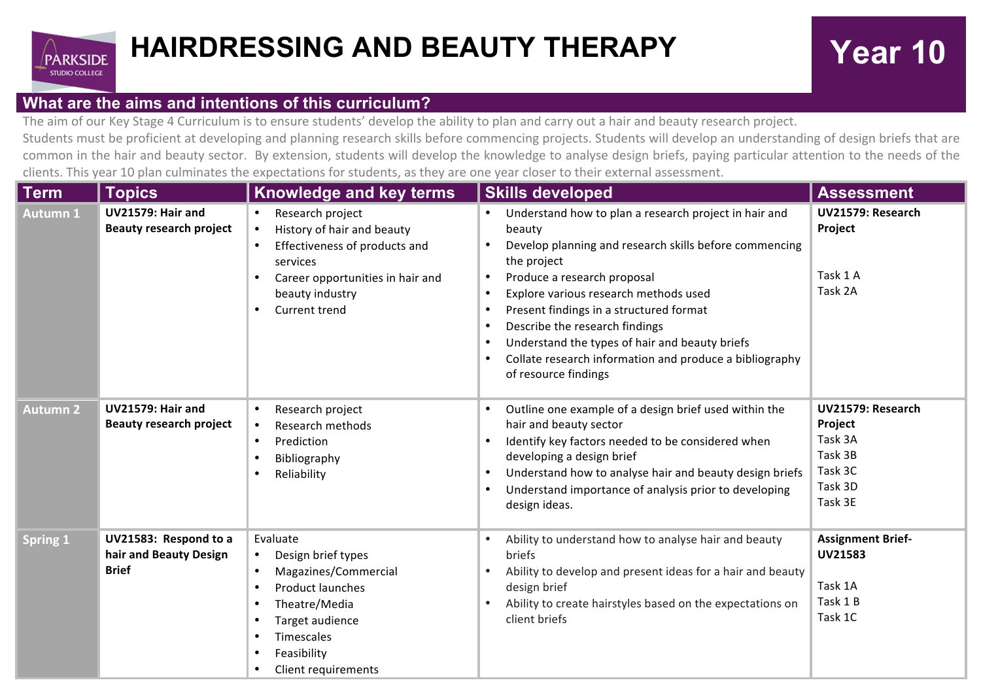

## **What are the aims and intentions of this curriculum?**

The aim of our Key Stage 4 Curriculum is to ensure students' develop the ability to plan and carry out a hair and beauty research project.

Students must be proficient at developing and planning research skills before commencing projects. Students will develop an understanding of design briefs that are common in the hair and beauty sector. By extension, students will develop the knowledge to analyse design briefs, paying particular attention to the needs of the clients. This year 10 plan culminates the expectations for students, as they are one year closer to their external assessment.

| <b>Term</b>     | <b>Topics</b>                                                   | <b>Knowledge and key terms</b>                                                                                                                                                                                                                   | <b>Skills developed</b>                                                                                                                                                                                                                                                                                                                                                                                                                         | <b>Assessment</b>                                                                   |
|-----------------|-----------------------------------------------------------------|--------------------------------------------------------------------------------------------------------------------------------------------------------------------------------------------------------------------------------------------------|-------------------------------------------------------------------------------------------------------------------------------------------------------------------------------------------------------------------------------------------------------------------------------------------------------------------------------------------------------------------------------------------------------------------------------------------------|-------------------------------------------------------------------------------------|
| <b>Autumn 1</b> | <b>UV21579: Hair and</b><br><b>Beauty research project</b>      | Research project<br>History of hair and beauty<br>$\bullet$<br>Effectiveness of products and<br>$\bullet$<br>services<br>Career opportunities in hair and<br>beauty industry<br>Current trend<br>$\bullet$                                       | Understand how to plan a research project in hair and<br>beauty<br>Develop planning and research skills before commencing<br>the project<br>Produce a research proposal<br>Explore various research methods used<br>$\bullet$<br>Present findings in a structured format<br>Describe the research findings<br>Understand the types of hair and beauty briefs<br>Collate research information and produce a bibliography<br>of resource findings | UV21579: Research<br>Project<br>Task 1 A<br>Task 2A                                 |
| <b>Autumn 2</b> | UV21579: Hair and<br><b>Beauty research project</b>             | Research project<br>$\bullet$<br>Research methods<br>$\bullet$<br>Prediction<br>$\bullet$<br>Bibliography<br>Reliability                                                                                                                         | Outline one example of a design brief used within the<br>hair and beauty sector<br>Identify key factors needed to be considered when<br>developing a design brief<br>Understand how to analyse hair and beauty design briefs<br>$\bullet$<br>Understand importance of analysis prior to developing<br>design ideas.                                                                                                                             | UV21579: Research<br>Project<br>Task 3A<br>Task 3B<br>Task 3C<br>Task 3D<br>Task 3E |
| <b>Spring 1</b> | UV21583: Respond to a<br>hair and Beauty Design<br><b>Brief</b> | Evaluate<br>Design brief types<br>$\bullet$<br>Magazines/Commercial<br>$\bullet$<br>Product launches<br>$\bullet$<br>Theatre/Media<br>$\bullet$<br>Target audience<br>$\bullet$<br>Timescales<br>$\bullet$<br>Feasibility<br>Client requirements | Ability to understand how to analyse hair and beauty<br>briefs<br>Ability to develop and present ideas for a hair and beauty<br>design brief<br>Ability to create hairstyles based on the expectations on<br>client briefs                                                                                                                                                                                                                      | <b>Assignment Brief-</b><br><b>UV21583</b><br>Task 1A<br>Task 1 B<br>Task 1C        |